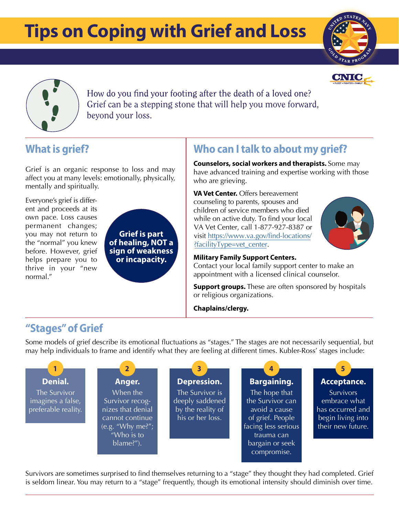# **Tips on Coping with Grief and Loss Tips on Coping with Grief and Loss**







How do you find your footing after the death of a loved one? Grief can be a stepping stone that will help you move forward, beyond your loss.

# **What is grief?**

Grief is an organic response to loss and may affect you at many levels: emotionally, physically, mentally and spiritually.

Everyone's grief is different and proceeds at its own pace. Loss causes permanent changes; you may not return to the "normal" you knew before. However, grief helps prepare you to thrive in your "new normal."

**Grief is part of healing, NOT a sign of weakness or incapacity.**

## **Who can Italk to about my grief?**

**Counselors, social workers and therapists.** Some may have advanced training and expertise working with those who are grieving.

**VAVet Center.** Offers bereavement counseling to parents, spouses and children of service members who died while on active duty. To find your local VA Vet Center, call 1-877-927-8387 or visit https://www.va.gov/find-locations/ ?facilityType=vet\_center.



#### **Military Family Support Centers.**

Contact your local family support center to make an appointment with a licensed clinical counselor.

**Support groups.** These are often sponsored by hospitals or religious organizations.

**Chaplains/clergy.**

### **"Stages"of Grief**

Some models of grief describe its emotional fluctuations as "stages." The stages are not necessarily sequential, but may help individuals to frame and identify what they are feeling at different times. Kubler-Ross' stages include:



Survivors are sometimes surprised to find themselves returning to a "stage" they thought they had completed. Grief is seldom linear. You may return to a "stage" frequently, though its emotional intensity should diminish over time.